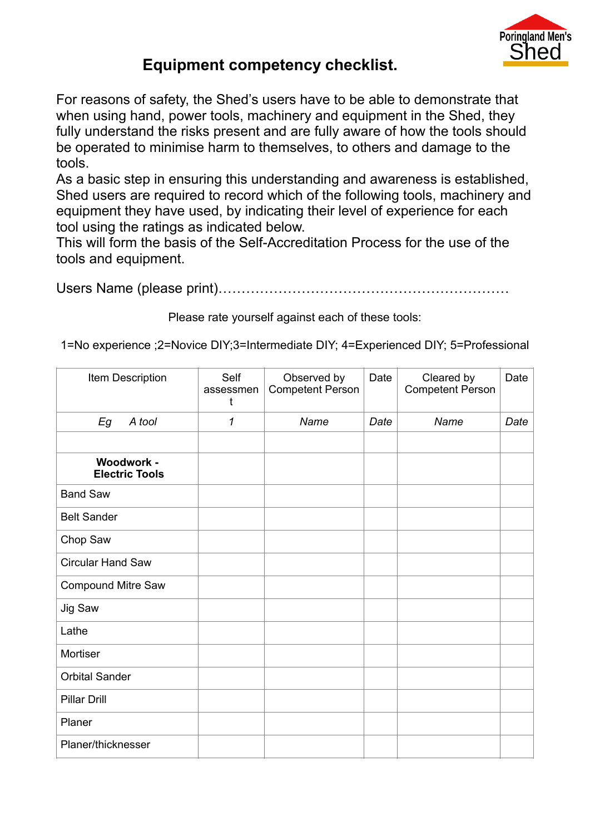

## **Equipment competency checklist.**

For reasons of safety, the Shed's users have to be able to demonstrate that when using hand, power tools, machinery and equipment in the Shed, they fully understand the risks present and are fully aware of how the tools should be operated to minimise harm to themselves, to others and damage to the tools.

As a basic step in ensuring this understanding and awareness is established, Shed users are required to record which of the following tools, machinery and equipment they have used, by indicating their level of experience for each tool using the ratings as indicated below.

This will form the basis of the Self-Accreditation Process for the use of the tools and equipment.

Users Name (please print)………………………………………………………

Please rate yourself against each of these tools:

1=No experience ;2=Novice DIY;3=Intermediate DIY; 4=Experienced DIY; 5=Professional

| Item Description                    | Self<br>assessmen<br>t | Observed by<br><b>Competent Person</b> | Date | Cleared by<br><b>Competent Person</b> | Date |
|-------------------------------------|------------------------|----------------------------------------|------|---------------------------------------|------|
| Eg<br>A tool                        | 1                      | Name                                   | Date | Name                                  | Date |
|                                     |                        |                                        |      |                                       |      |
| Woodwork -<br><b>Electric Tools</b> |                        |                                        |      |                                       |      |
| <b>Band Saw</b>                     |                        |                                        |      |                                       |      |
| <b>Belt Sander</b>                  |                        |                                        |      |                                       |      |
| Chop Saw                            |                        |                                        |      |                                       |      |
| Circular Hand Saw                   |                        |                                        |      |                                       |      |
| <b>Compound Mitre Saw</b>           |                        |                                        |      |                                       |      |
| Jig Saw                             |                        |                                        |      |                                       |      |
| Lathe                               |                        |                                        |      |                                       |      |
| Mortiser                            |                        |                                        |      |                                       |      |
| <b>Orbital Sander</b>               |                        |                                        |      |                                       |      |
| <b>Pillar Drill</b>                 |                        |                                        |      |                                       |      |
| Planer                              |                        |                                        |      |                                       |      |
| Planer/thicknesser                  |                        |                                        |      |                                       |      |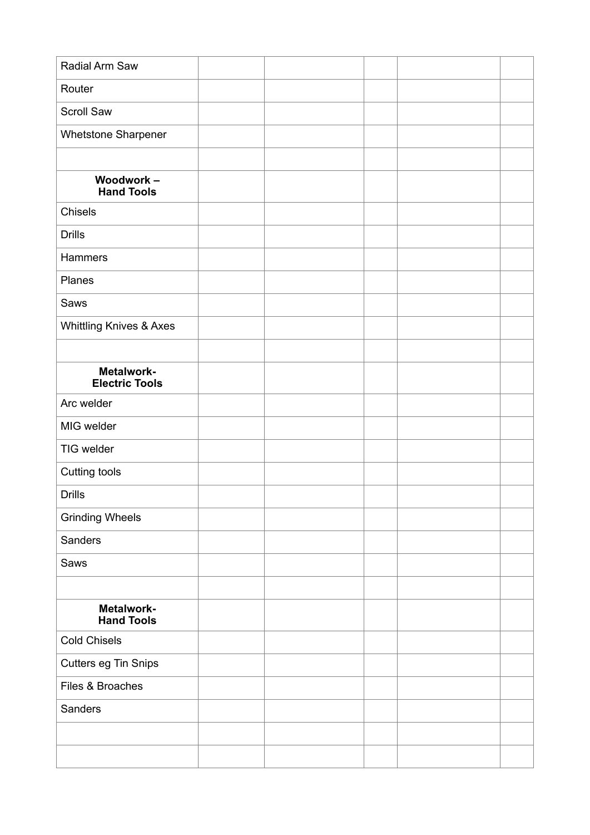| Radial Arm Saw                      |  |  |  |
|-------------------------------------|--|--|--|
| Router                              |  |  |  |
| <b>Scroll Saw</b>                   |  |  |  |
| Whetstone Sharpener                 |  |  |  |
|                                     |  |  |  |
| Woodwork-<br><b>Hand Tools</b>      |  |  |  |
| Chisels                             |  |  |  |
| <b>Drills</b>                       |  |  |  |
| Hammers                             |  |  |  |
| Planes                              |  |  |  |
| Saws                                |  |  |  |
| Whittling Knives & Axes             |  |  |  |
|                                     |  |  |  |
| Metalwork-<br><b>Electric Tools</b> |  |  |  |
| Arc welder                          |  |  |  |
| MIG welder                          |  |  |  |
| TIG welder                          |  |  |  |
| Cutting tools                       |  |  |  |
| <b>Drills</b>                       |  |  |  |
| <b>Grinding Wheels</b>              |  |  |  |
| Sanders                             |  |  |  |
| Saws                                |  |  |  |
|                                     |  |  |  |
| Metalwork-<br><b>Hand Tools</b>     |  |  |  |
| <b>Cold Chisels</b>                 |  |  |  |
| Cutters eg Tin Snips                |  |  |  |
| Files & Broaches                    |  |  |  |
| Sanders                             |  |  |  |
|                                     |  |  |  |
|                                     |  |  |  |